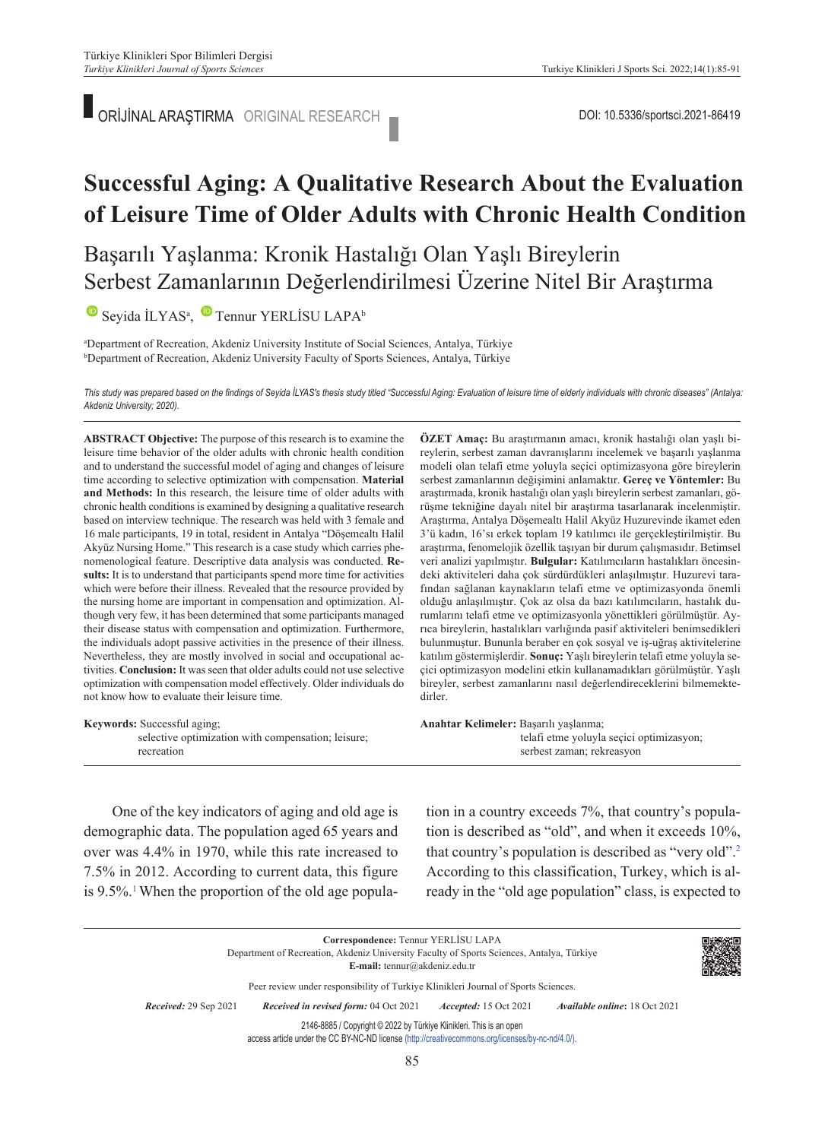ORİJİNAL ARAŞTIRMA ORIGINAL RESEARCH DOI: 10.5336/sportsci.2021-86419

# **Successful Aging: A Qualitative Research About the Evaluation of Leisure Time of Older Adults with Chronic Health Condition**

Başarılı Yaşlanma: Kronik Hastalığı Olan Yaşlı Bireylerin Serbest Zamanlarının Değerlendirilmesi Üzerine Nitel Bir Araştırma

 $\bullet$ Seyida İLYAS<sup>a</sup>,  $\bullet$  Tennur YERLİSU LAPA<sup>b</sup>

a Department of Recreation, Akdeniz University Institute of Social Sciences, Antalya, Türkiye b Department of Recreation, Akdeniz University Faculty of Sports Sciences, Antalya, Türkiye

*This study was prepared based on the findings of Seyida İLYAS's thesis study titled "Successful Aging: Evaluation of leisure time of elderly individuals with chronic diseases" (Antalya: Akdeniz University; 2020).*

**ABS TRACT Objective:** The purpose of this research is to examine the leisure time behavior of the older adults with chronic health condition and to understand the successful model of aging and changes of leisure time according to selective optimization with compensation. **Material and Methods:** In this research, the leisure time of older adults with chronic health conditions is examined by designing a qualitative research based on interview technique. The research was held with 3 female and 16 male participants, 19 in total, resident in Antalya "Döşemealtı Halil Akyüz Nursing Home." This research is a case study which carries phenomenological feature. Descriptive data analysis was conducted. **Results:** It is to understand that participants spend more time for activities which were before their illness. Revealed that the resource provided by the nursing home are important in compensation and optimization. Although very few, it has been determined that some participants managed their disease status with compensation and optimization. Furthermore, the individuals adopt passive activities in the presence of their illness. Nevertheless, they are mostly involved in social and occupational activities. **Conclusion:** It was seen that older adults could not use selective optimization with compensation model effectively. Older individuals do not know how to evaluate their leisure time.

**ÖZET Amaç:** Bu araştırmanın amacı, kronik hastalığı olan yaşlı bireylerin, serbest zaman davranışlarını incelemek ve başarılı yaşlanma modeli olan telafi etme yoluyla seçici optimizasyona göre bireylerin serbest zamanlarının değişimini anlamaktır. **Gereç ve Yöntemler:** Bu araştırmada, kronik hastalığı olan yaşlı bireylerin serbest zamanları, görüşme tekniğine dayalı nitel bir araştırma tasarlanarak incelenmiştir. Araştırma, Antalya Döşemealtı Halil Akyüz Huzurevinde ikamet eden 3'ü kadın, 16'sı erkek toplam 19 katılımcı ile gerçekleştirilmiştir. Bu araştırma, fenomelojik özellik taşıyan bir durum çalışmasıdır. Betimsel veri analizi yapılmıştır. **Bulgular:** Katılımcıların hastalıkları öncesindeki aktiviteleri daha çok sürdürdükleri anlaşılmıştır. Huzurevi tarafından sağlanan kaynakların telafi etme ve optimizasyonda önemli olduğu anlaşılmıştır. Çok az olsa da bazı katılımcıların, hastalık durumlarını telafi etme ve optimizasyonla yönettikleri görülmüştür. Ayrıca bireylerin, hastalıkları varlığında pasif aktiviteleri benimsedikleri bulunmuştur. Bununla beraber en çok sosyal ve iş-uğraş aktivitelerine katılım göstermişlerdir. **Sonuç:** Yaşlı bireylerin telafi etme yoluyla seçici optimizasyon modelini etkin kullanamadıkları görülmüştür. Yaşlı bireyler, serbest zamanlarını nasıl değerlendireceklerini bilmemektedirler.

| <b>Keywords:</b> Successful aging;                 | Anahtar Kelimeler: Başarılı yaşlanma;    |
|----------------------------------------------------|------------------------------------------|
| selective optimization with compensation: leisure: | telafi etme yoluyla seçici optimizasyon; |
| recreation                                         | serbest zaman; rekreasyon                |

One of the key indicators of aging and old age is demographic data. The population aged 65 years and over was 4.4% in 1970, while this rate increased to 7.5% in 2012. According to current data, this figure is 9.5%.<sup>1</sup> When the proportion of the old age population in a country exceeds 7%, that country's population is described as "old", and when it exceeds 10%, that country's population is described as "very old"[.2](#page-5-0) According to this classification, Turkey, which is already in the "old age population" class, is expected to

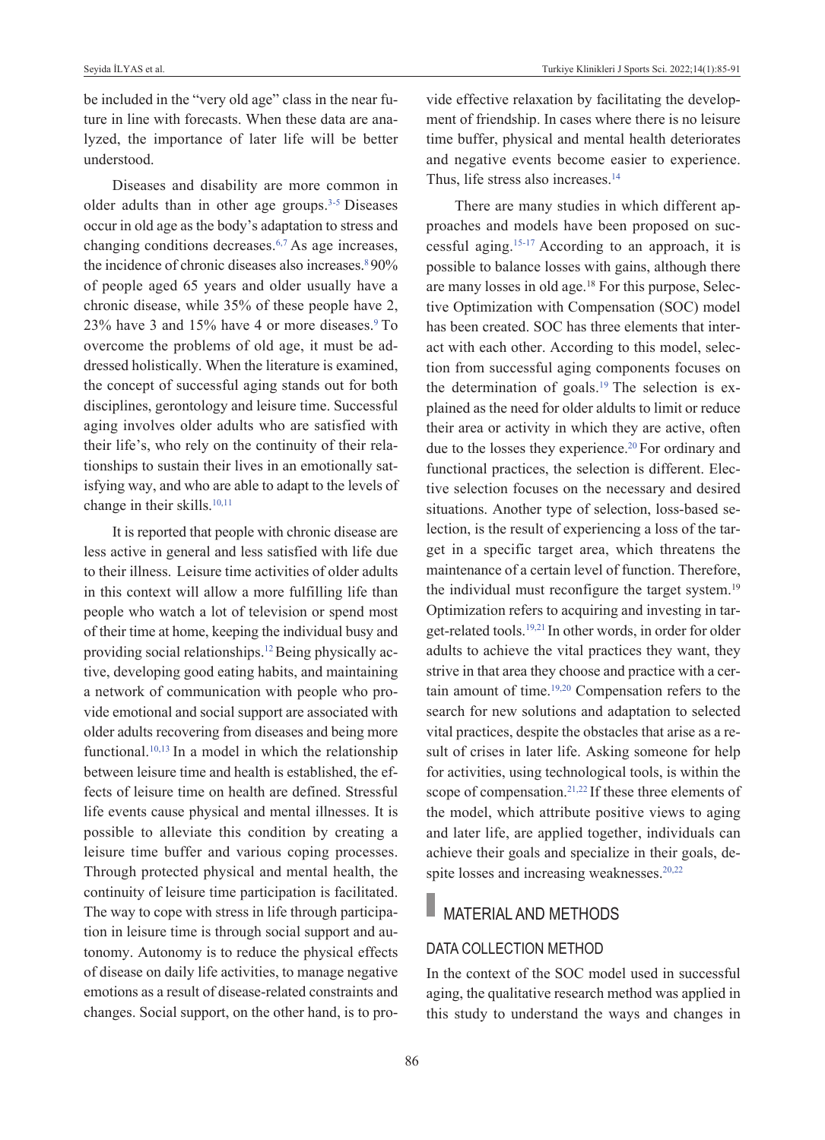be included in the "very old age" class in the near future in line with forecasts. When these data are analyzed, the importance of later life will be better understood.

Diseases and disability are more common in older adults than in other age groups[.3-5](#page-5-0) Diseases occur in old age as the body's adaptation to stress and changing conditions decreases. $6,7$  As age increases, the incidence of chronic diseases also increases.<sup>8</sup>90% of people aged 65 years and older usually have a chronic disease, while 35% of these people have 2, 23% have 3 and 15% have 4 or more diseases[.9](#page-5-0) To overcome the problems of old age, it must be addressed holistically. When the literature is examined, the concept of successful aging stands out for both disciplines, gerontology and leisure time. Successful aging involves older adults who are satisfied with their life's, who rely on the continuity of their relationships to sustain their lives in an emotionally satisfying way, and who are able to adapt to the levels of change in their skills.<sup>10,11</sup>

It is reported that people with chronic disease are less active in general and less satisfied with life due to their illness. Leisure time activities of older adults in this context will allow a more fulfilling life than people who watch a lot of television or spend most of their time at home, keeping the individual busy and providing social relationships.<sup>12</sup> Being physically active, developing good eating habits, and maintaining a network of communication with people who provide emotional and social support are associated with older adults recovering from diseases and being more functional. $10,13$  In a model in which the relationship between leisure time and health is established, the effects of leisure time on health are defined. Stressful life events cause physical and mental illnesses. It is possible to alleviate this condition by creating a leisure time buffer and various coping processes. Through protected physical and mental health, the continuity of leisure time participation is facilitated. The way to cope with stress in life through participation in leisure time is through social support and autonomy. Autonomy is to reduce the physical effects of disease on daily life activities, to manage negative emotions as a result of disease-related constraints and changes. Social support, on the other hand, is to provide effective relaxation by facilitating the development of friendship. In cases where there is no leisure time buffer, physical and mental health deteriorates and negative events become easier to experience. Thus, life stress also increases.<sup>14</sup>

There are many studies in which different approaches and models have been proposed on successful aging[.15-17](#page-5-0) According to an approach, it is possible to balance losses with gains, although there are many losses in old age.<sup>18</sup> For this purpose, Selective Optimization with Compensation (SOC) model has been created. SOC has three elements that interact with each other. According to this model, selection from successful aging components focuses on the determination of goals.<sup>19</sup> The selection is explained as the need for older aldults to limit or reduce their area or activity in which they are active, often due to the losses they experience.<sup>20</sup> For ordinary and functional practices, the selection is different. Elective selection focuses on the necessary and desired situations. Another type of selection, loss-based selection, is the result of experiencing a loss of the target in a specific target area, which threatens the maintenance of a certain level of function. Therefore, the individual must reconfigure the target system.<sup>19</sup> Optimization refers to acquiring and investing in target-related tools[.19,21](#page-5-0) In other words, in order for older adults to achieve the vital practices they want, they strive in that area they choose and practice with a certain amount of time.<sup>19,20</sup> Compensation refers to the search for new solutions and adaptation to selected vital practices, despite the obstacles that arise as a result of crises in later life. Asking someone for help for activities, using technological tools, is within the scope of compensation.<sup>21,22</sup> If these three elements of the model, which attribute positive views to aging and later life, are applied together, individuals can achieve their goals and specialize in their goals, despite losses and increasing weaknesses.<sup>20,22</sup>

# MATERIAL AND METHODS

# DATA COLLECTION METHOD

In the context of the SOC model used in successful aging, the qualitative research method was applied in this study to understand the ways and changes in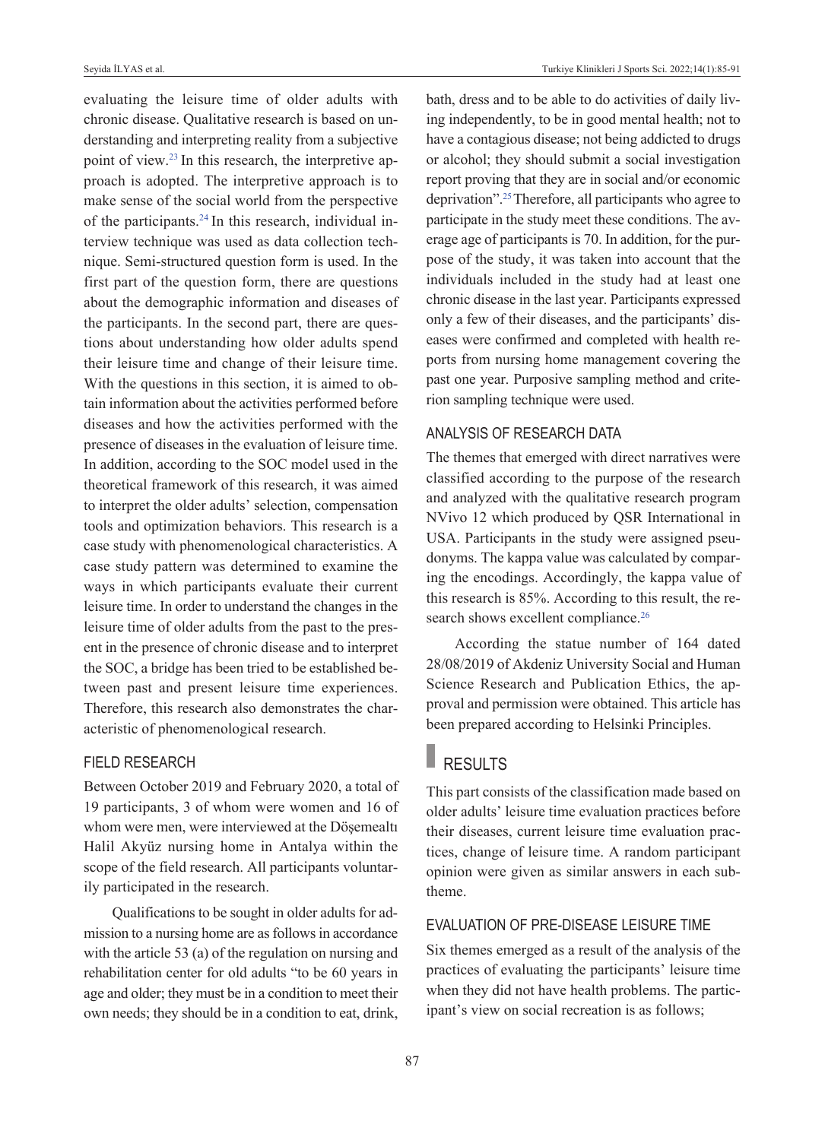evaluating the leisure time of older adults with chronic disease. Qualitative research is based on understanding and interpreting reality from a subjective point of view[.23](#page-5-0) In this research, the interpretive approach is adopted. The interpretive approach is to make sense of the social world from the perspective of the participants[.24](#page-5-0) In this research, individual interview technique was used as data collection technique. Semi-structured question form is used. In the first part of the question form, there are questions about the demographic information and diseases of the participants. In the second part, there are questions about understanding how older adults spend their leisure time and change of their leisure time. With the questions in this section, it is aimed to obtain information about the activities performed before diseases and how the activities performed with the presence of diseases in the evaluation of leisure time. In addition, according to the SOC model used in the theoretical framework of this research, it was aimed to interpret the older adults' selection, compensation tools and optimization behaviors. This research is a case study with phenomenological characteristics. A case study pattern was determined to examine the ways in which participants evaluate their current leisure time. In order to understand the changes in the leisure time of older adults from the past to the present in the presence of chronic disease and to interpret the SOC, a bridge has been tried to be established between past and present leisure time experiences. Therefore, this research also demonstrates the characteristic of phenomenological research.

## FIELD RESEARCH

Between October 2019 and February 2020, a total of 19 participants, 3 of whom were women and 16 of whom were men, were interviewed at the Döşemealtı Halil Akyüz nursing home in Antalya within the scope of the field research. All participants voluntarily participated in the research.

Qualifications to be sought in older adults for admission to a nursing home are as follows in accordance with the article 53 (a) of the regulation on nursing and rehabilitation center for old adults "to be 60 years in age and older; they must be in a condition to meet their own needs; they should be in a condition to eat, drink, bath, dress and to be able to do activities of daily living independently, to be in good mental health; not to have a contagious disease; not being addicted to drugs or alcohol; they should submit a social investigation report proving that they are in social and/or economic deprivation"[.25 T](#page-5-0)herefore, all participants who agree to participate in the study meet these conditions. The average age of participants is 70. In addition, for the purpose of the study, it was taken into account that the individuals included in the study had at least one chronic disease in the last year. Participants expressed only a few of their diseases, and the participants' diseases were confirmed and completed with health reports from nursing home management covering the past one year. Purposive sampling method and criterion sampling technique were used.

# ANALYSIS OF RESEARCH DATA

The themes that emerged with direct narratives were classified according to the purpose of the research and analyzed with the qualitative research program NVivo 12 which produced by QSR International in USA. Participants in the study were assigned pseudonyms. The kappa value was calculated by comparing the encodings. Accordingly, the kappa value of this research is 85%. According to this result, the research shows excellent compliance.<sup>26</sup>

According the statue number of 164 dated 28/08/2019 of Akdeniz University Social and Human Science Research and Publication Ethics, the approval and permission were obtained. This article has been prepared according to Helsinki Principles.

# RESULTS

This part consists of the classification made based on older adults' leisure time evaluation practices before their diseases, current leisure time evaluation practices, change of leisure time. A random participant opinion were given as similar answers in each subtheme.

# EvALUATION OF PRE-DISEASE LEISURE TIME

Six themes emerged as a result of the analysis of the practices of evaluating the participants' leisure time when they did not have health problems. The participant's view on social recreation is as follows;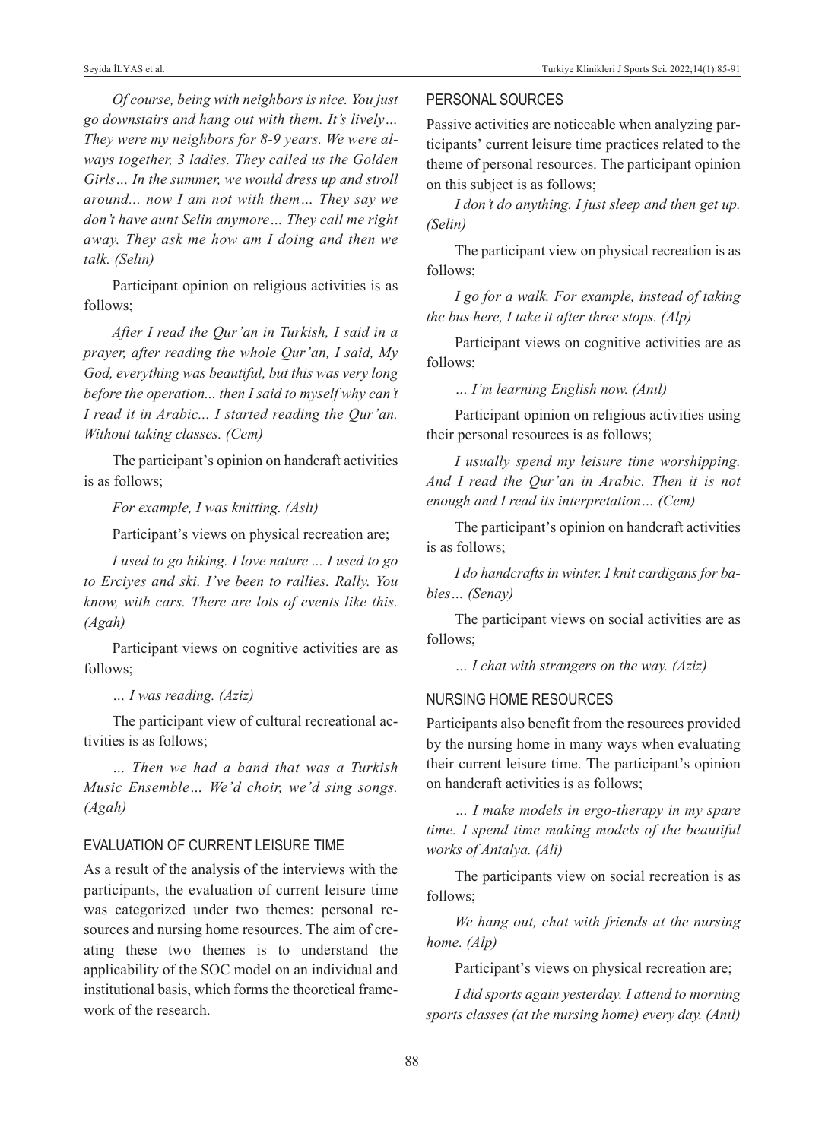*Of course, being with neighbors is nice. You just go downstairs and hang out with them. It's lively… They were my neighbors for 8-9 years. We were always together, 3 ladies. They called us the Golden Girls… In the summer, we would dress up and stroll around... now I am not with them… They say we don't have aunt Selin anymore… They call me right away. They ask me how am I doing and then we talk. (Selin)* 

Participant opinion on religious activities is as follows;

*After I read the Qur'an in Turkish, I said in a prayer, after reading the whole Qur'an, I said, My God, everything was beautiful, but this was very long before the operation... then I said to myself why can't I read it in Arabic... I started reading the Qur'an. Without taking classes. (Cem)* 

The participant's opinion on handcraft activities is as follows;

*For example, I was knitting. (Aslı)* 

Participant's views on physical recreation are;

*I used to go hiking. I love nature ... I used to go to Erciyes and ski. I've been to rallies. Rally. You know, with cars. There are lots of events like this. (Agah)* 

Participant views on cognitive activities are as follows;

*… I was reading. (Aziz)* 

The participant view of cultural recreational activities is as follows;

*… Then we had a band that was a Turkish Music Ensemble… We'd choir, we'd sing songs. (Agah)* 

# EvALUATION OF CURRENT LEISURE TIME

As a result of the analysis of the interviews with the participants, the evaluation of current leisure time was categorized under two themes: personal resources and nursing home resources. The aim of creating these two themes is to understand the applicability of the SOC model on an individual and institutional basis, which forms the theoretical framework of the research.

# PERSONAL SOURCES

Passive activities are noticeable when analyzing participants' current leisure time practices related to the theme of personal resources. The participant opinion on this subject is as follows;

*I don't do anything. I just sleep and then get up. (Selin)* 

The participant view on physical recreation is as follows;

*I go for a walk. For example, instead of taking the bus here, I take it after three stops. (Alp)* 

Participant views on cognitive activities are as follows;

*… I'm learning English now. (Anıl)* 

Participant opinion on religious activities using their personal resources is as follows;

*I usually spend my leisure time worshipping. And I read the Qur'an in Arabic. Then it is not enough and I read its interpretation… (Cem)* 

The participant's opinion on handcraft activities is as follows;

*I do handcrafts in winter. I knit cardigans for babies… (Senay)* 

The participant views on social activities are as follows;

*… I chat with strangers on the way. (Aziz)* 

## NURSING HOME RESOURCES

Participants also benefit from the resources provided by the nursing home in many ways when evaluating their current leisure time. The participant's opinion on handcraft activities is as follows;

*… I make models in ergo-therapy in my spare time. I spend time making models of the beautiful works of Antalya. (Ali)* 

The participants view on social recreation is as follows;

*We hang out, chat with friends at the nursing home. (Alp)* 

Participant's views on physical recreation are;

*I did sports again yesterday. I attend to morning sports classes (at the nursing home) every day. (Anıl)*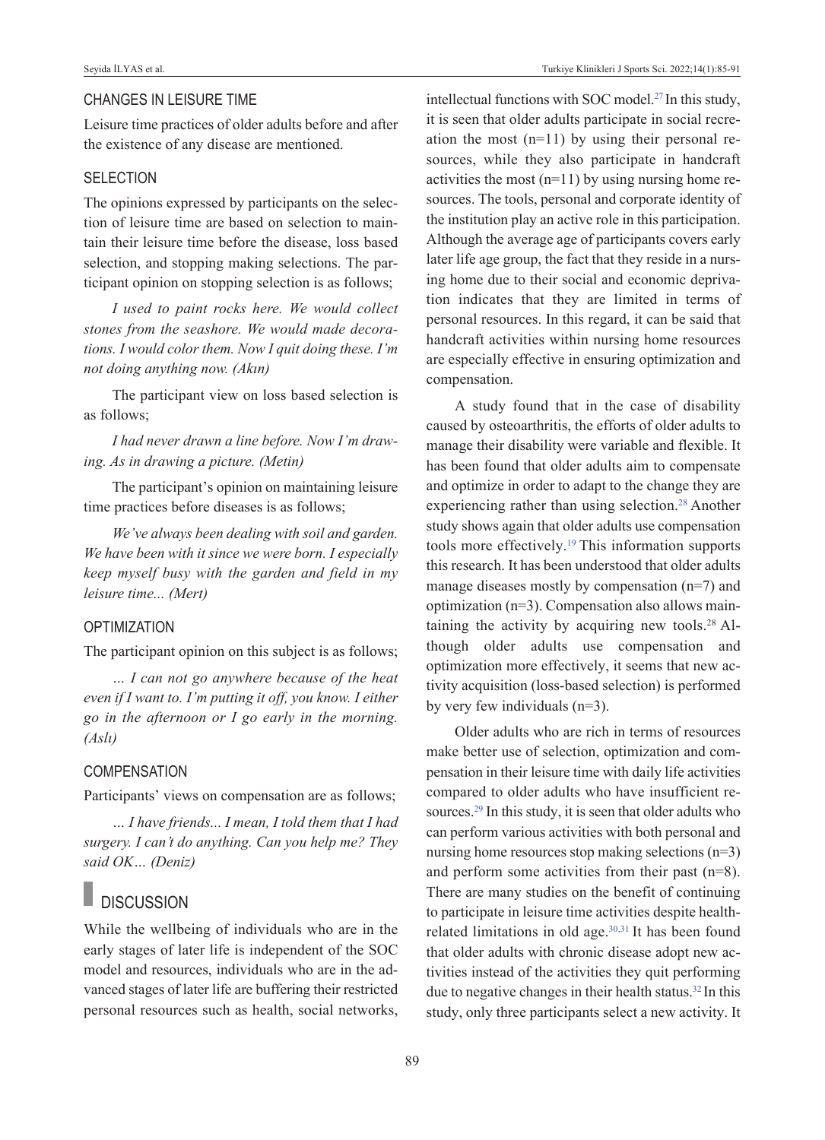# CHANGES IN LEISURE TIME

Leisure time practices of older adults before and after the existence of any disease are mentioned.

## **SELECTION**

The opinions expressed by participants on the selection of leisure time are based on selection to maintain their leisure time before the disease, loss based selection, and stopping making selections. The participant opinion on stopping selection is as follows;

*I used to paint rocks here. We would collect stones from the seashore. We would made decorations. I would color them. Now I quit doing these. I'm not doing anything now. (Akın)* 

The participant view on loss based selection is as follows;

*I had never drawn a line before. Now I'm drawing. As in drawing a picture. (Metin)* 

The participant's opinion on maintaining leisure time practices before diseases is as follows;

*We've always been dealing with soil and garden. We have been with it since we were born. I especially keep myself busy with the garden and field in my leisure time... (Mert)* 

# **OPTIMIZATION**

The participant opinion on this subject is as follows;

*… I can not go anywhere because of the heat even if I want to. I'm putting it off, you know. I either go in the afternoon or I go early in the morning. (Aslı)* 

# **COMPENSATION**

Participants' views on compensation are as follows;

*… I have friends... I mean, I told them that I had surgery. I can't do anything. Can you help me? They said OK… (Deniz)*

# **DISCUSSION**

While the wellbeing of individuals who are in the early stages of later life is independent of the SOC model and resources, individuals who are in the advanced stages of later life are buffering their restricted personal resources such as health, social networks, intellectual functions with SOC model[.27](#page-5-0) In this study, it is seen that older adults participate in social recreation the most (n=11) by using their personal resources, while they also participate in handcraft activities the most  $(n=11)$  by using nursing home resources. The tools, personal and corporate identity of the institution play an active role in this participation. Although the average age of participants covers early later life age group, the fact that they reside in a nursing home due to their social and economic deprivation indicates that they are limited in terms of personal resources. In this regard, it can be said that handcraft activities within nursing home resources are especially effective in ensuring optimization and compensation.

A study found that in the case of disability caused by osteoarthritis, the efforts of older adults to manage their disability were variable and flexible. It has been found that older adults aim to compensate and optimize in order to adapt to the change they are experiencing rather than using selection.<sup>28</sup> Another study shows again that older adults use compensation tools more effectively.<sup>19</sup> This information supports this research. It has been understood that older adults manage diseases mostly by compensation (n=7) and optimization (n=3). Compensation also allows maintaining the activity by acquiring new tools.<sup>28</sup> Although older adults use compensation and optimization more effectively, it seems that new activity acquisition (loss-based selection) is performed by very few individuals (n=3).

Older adults who are rich in terms of resources make better use of selection, optimization and compensation in their leisure time with daily life activities compared to older adults who have insufficient resources.<sup>29</sup> In this study, it is seen that older adults who can perform various activities with both personal and nursing home resources stop making selections (n=3) and perform some activities from their past (n=8). There are many studies on the benefit of continuing to participate in leisure time activities despite healthrelated limitations in old age.<sup>30,31</sup> It has been found that older adults with chronic disease adopt new activities instead of the activities they quit performing due to negative changes in their health status[.32](#page-5-0) In this study, only three participants select a new activity. It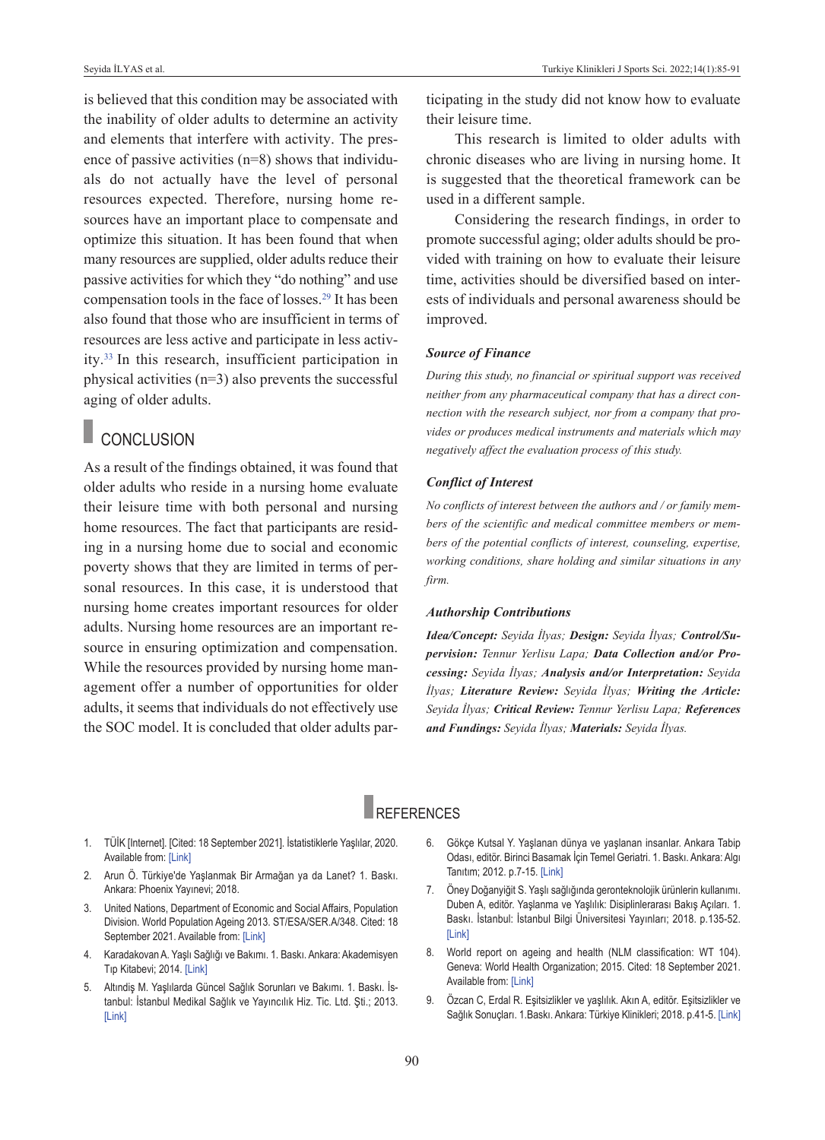is believed that this condition may be associated with the inability of older adults to determine an activity and elements that interfere with activity. The presence of passive activities (n=8) shows that individuals do not actually have the level of personal resources expected. Therefore, nursing home resources have an important place to compensate and optimize this situation. It has been found that when many resources are supplied, older adults reduce their passive activities for which they "do nothing" and use compensation tools in the face of losses[.29](#page-5-0) It has been also found that those who are insufficient in terms of resources are less active and participate in less activity[.33](#page-5-0) In this research, insufficient participation in physical activities (n=3) also prevents the successful aging of older adults.

# **CONCLUSION**

As a result of the findings obtained, it was found that older adults who reside in a nursing home evaluate their leisure time with both personal and nursing home resources. The fact that participants are residing in a nursing home due to social and economic poverty shows that they are limited in terms of personal resources. In this case, it is understood that nursing home creates important resources for older adults. Nursing home resources are an important resource in ensuring optimization and compensation. While the resources provided by nursing home management offer a number of opportunities for older adults, it seems that individuals do not effectively use the SOC model. It is concluded that older adults participating in the study did not know how to evaluate their leisure time.

This research is limited to older adults with chronic diseases who are living in nursing home. It is suggested that the theoretical framework can be used in a different sample.

Considering the research findings, in order to promote successful aging; older adults should be provided with training on how to evaluate their leisure time, activities should be diversified based on interests of individuals and personal awareness should be improved.

### *Source of Finance*

*During this study, no financial or spiritual support was received neither from any pharmaceutical company that has a direct connection with the research subject, nor from a company that provides or produces medical instruments and materials which may negatively affect the evaluation process of this study.* 

#### *Conflict of Interest*

*No conflicts of interest between the authors and / or family members of the scientific and medical committee members or members of the potential conflicts of interest, counseling, expertise, working conditions, share holding and similar situations in any firm.* 

#### *Authorship Contributions*

*Idea/Concept: Seyida İlyas; Design: Seyida İlyas; Control/Supervision: Tennur Yerlisu Lapa; Data Collection and/or Processing: Seyida İlyas; Analysis and/or Interpretation: Seyida İlyas; Literature Review: Seyida İlyas; Writing the Article: Seyida İlyas; Critical Review: Tennur Yerlisu Lapa; References and Fundings: Seyida İlyas; Materials: Seyida İlyas.*

# **REFERENCES**

- 1. TÜİK [Internet]. [Cited: 18 September 2021]. İstatistiklerle Yaşlılar, 2020. Available from: [\[Link\]](https://data.tuik.gov.tr/Bulten/Index?p=Istatistiklerle-Yaslilar-2020-37227)
- 2. Arun Ö. Türkiye'de Yaşlanmak Bir Armağan ya da Lanet? 1. Baskı. Ankara: Phoenix Yayınevi; 2018.
- 3. United Nations, Department of Economic and Social Affairs, Population Division. World Population Ageing 2013. ST/ESA/SER.A/348. Cited: 18 September 2021. Available from: [\[Link\]](https://www.un.org/en/development/desa/population/publications/pdf/ageing/WorldPopulationAgeing2013.pdf)
- 4. Karadakovan A. Yaşlı Sağlığı ve Bakımı. 1. Baskı. Ankara: Akademisyen Tıp Kitabevi; 2014. [\[Link\]](https://www.akademisyen.com/tr/hemsirelik-ebelik-kitaplari/yasli-sagligi-ve-bakim.html)
- 5. Altındiş M. Yaşlılarda Güncel Sağlık Sorunları ve Bakımı. 1. Baskı. İstanbul: İstanbul Medikal Sağlık ve Yayıncılık Hiz. Tic. Ltd. Şti.; 2013. [\[Link\]](https://istanbultip.com.tr/urun/yaslilarda-guncel-saglik-sorunlari-ve-bakimi/)
- <span id="page-5-0"></span>6. Gökçe Kutsal Y. Yaşlanan dünya ve yaşlanan insanlar. Ankara Tabip Odası, editör. Birinci Basamak İçin Temel Geriatri. 1. Baskı. Ankara: Algı Tanıtım; 2012. p.7-15. [\[Link\]](http://static.ato.org.tr/fs/506304d267cde98830000000/geriatri_semp_kitabi.pdf)
- 7. Öney Doğanyiğit S. Yaşlı sağlığında geronteknolojik ürünlerin kullanımı. Duben A, editör. Yaşlanma ve Yaşlılık: Disiplinlerarası Bakış Açıları. 1. Baskı. İstanbul: İstanbul Bilgi Üniversitesi Yayınları; 2018. p.135-52. [\[Link\]](https://bilgiyay.com/kitap/yaslanma-ve-yaslilik-disiplinlerarasi-bakis-acilari/)
- 8. World report on ageing and health (NLM classification: WT 104). Geneva: World Health Organization; 2015. Cited: 18 September 2021. Available from: [\[Link\]](http://apps.who.int/iris/bitstream/handle/10665/186463/9789240694811_eng.pdf;jsessionid=C20C2AE76324BFDD803BD7D3C83A1661?sequence=1)
- 9. Özcan C, Erdal R. Eşitsizlikler ve yaşlılık. Akın A, editör. Eşitsizlikler ve Sağlık Sonuçları. 1.Baskı. Ankara: Türkiye Klinikleri; 2018. p.41-5. [\[Link\]](https://www.turkiyeklinikleri.com/journal/halk-sagligi-ozel-konular/444/issue/2018/4/3-0/esitsizlikler-ve-saglik-sonuclari/tr-index.html)